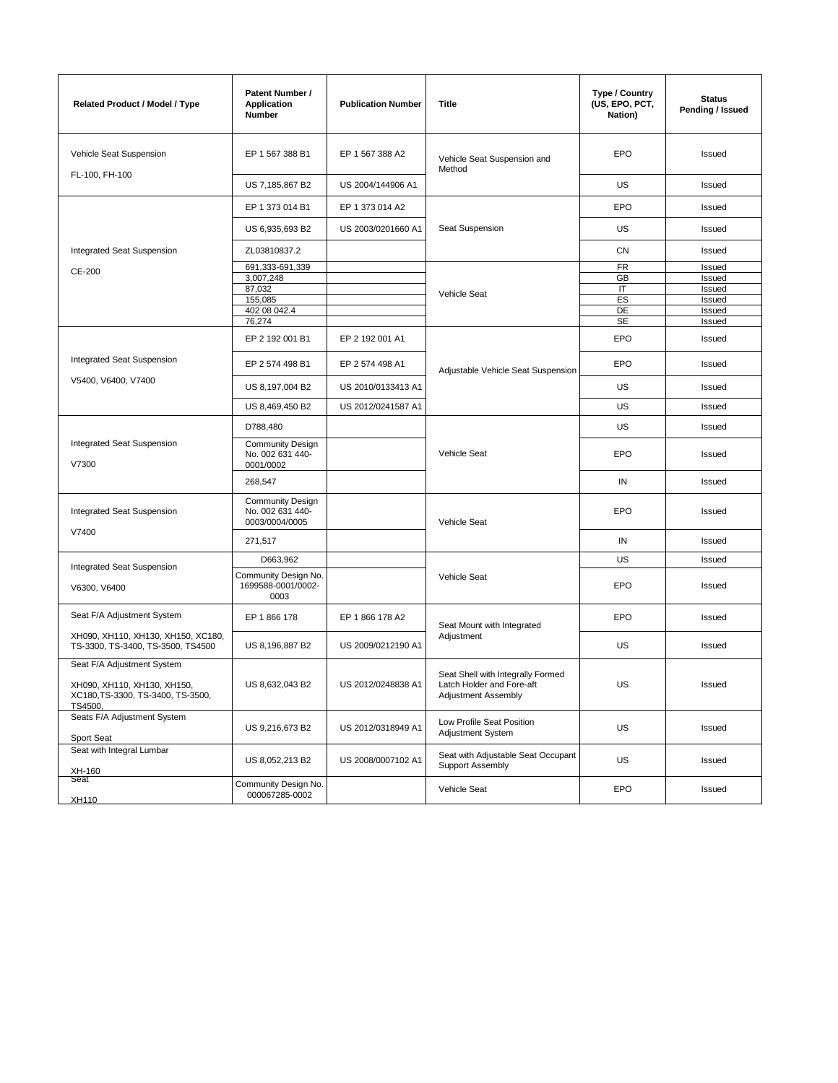| <b>Related Product / Model / Type</b>                                       | Patent Number /<br>Application<br>Number                      | <b>Publication Number</b> | Title                                                                                 | Type / Country<br>(US, EPO, PCT,<br>Nation) | <b>Status</b><br>Pending / Issued |
|-----------------------------------------------------------------------------|---------------------------------------------------------------|---------------------------|---------------------------------------------------------------------------------------|---------------------------------------------|-----------------------------------|
| Vehicle Seat Suspension                                                     | EP 1 567 388 B1                                               | EP 1 567 388 A2           | Vehicle Seat Suspension and<br>Method                                                 | <b>EPO</b>                                  | Issued                            |
| FL-100, FH-100                                                              | US 7,185,867 B2                                               | US 2004/144906 A1         |                                                                                       | US                                          | Issued                            |
|                                                                             | EP 1 373 014 B1                                               | EP 1 373 014 A2           | Seat Suspension                                                                       | <b>EPO</b>                                  | Issued                            |
|                                                                             | US 6,935,693 B2                                               | US 2003/0201660 A1        |                                                                                       | US                                          | Issued                            |
| Integrated Seat Suspension                                                  | ZL03810837.2                                                  |                           |                                                                                       | CN                                          | Issued                            |
| CE-200                                                                      | 691,333-691,339                                               |                           |                                                                                       | <b>FR</b>                                   | Issued                            |
|                                                                             | 3,007,248                                                     |                           |                                                                                       | GB                                          | Issued                            |
|                                                                             | 87,032                                                        |                           | Vehicle Seat                                                                          | IT                                          | Issued                            |
|                                                                             | 155,085                                                       |                           |                                                                                       | ES                                          | Issued                            |
|                                                                             | 402 08 042.4                                                  |                           |                                                                                       | DE                                          | Issued                            |
|                                                                             | 76,274                                                        |                           |                                                                                       | <b>SE</b>                                   | Issued                            |
|                                                                             | EP 2 192 001 B1                                               | EP 2 192 001 A1           |                                                                                       | <b>EPO</b>                                  | Issued                            |
| <b>Integrated Seat Suspension</b>                                           | EP 2 574 498 B1                                               | EP 2 574 498 A1           | Adjustable Vehicle Seat Suspension                                                    | EPO                                         | Issued                            |
| V5400, V6400, V7400                                                         | US 8,197,004 B2                                               | US 2010/0133413 A1        |                                                                                       | US                                          | Issued                            |
|                                                                             | US 8,469,450 B2                                               | US 2012/0241587 A1        |                                                                                       | US                                          | Issued                            |
| <b>Integrated Seat Suspension</b><br>V7300                                  | D788,480                                                      |                           | Vehicle Seat                                                                          | US                                          | Issued                            |
|                                                                             | <b>Community Design</b><br>No. 002 631 440-<br>0001/0002      |                           |                                                                                       | <b>EPO</b>                                  | Issued                            |
|                                                                             | 268,547                                                       |                           |                                                                                       | IN                                          | Issued                            |
| Integrated Seat Suspension<br>V7400                                         | <b>Community Design</b><br>No. 002 631 440-<br>0003/0004/0005 |                           | Vehicle Seat                                                                          | <b>EPO</b>                                  | Issued                            |
|                                                                             | 271,517                                                       |                           |                                                                                       | IN                                          | Issued                            |
|                                                                             | D663,962                                                      |                           |                                                                                       | US                                          | Issued                            |
| Integrated Seat Suspension<br>V6300, V6400                                  | Community Design No.<br>1699588-0001/0002-<br>0003            |                           | Vehicle Seat                                                                          | <b>EPO</b>                                  | Issued                            |
| Seat F/A Adjustment System                                                  | EP 1 866 178                                                  | EP 1 866 178 A2           | Seat Mount with Integrated                                                            | <b>EPO</b>                                  | Issued                            |
| XH090, XH110, XH130, XH150, XC180,<br>TS-3300, TS-3400, TS-3500, TS4500     | US 8,196,887 B2                                               | US 2009/0212190 A1        | Adjustment                                                                            | US                                          | Issued                            |
| Seat F/A Adjustment System                                                  |                                                               |                           |                                                                                       |                                             |                                   |
| XH090, XH110, XH130, XH150,<br>XC180, TS-3300, TS-3400, TS-3500,<br>TS4500, | US 8,632,043 B2                                               | US 2012/0248838 A1        | Seat Shell with Integrally Formed<br>Latch Holder and Fore-aft<br>Adjustment Assembly | US                                          | Issued                            |
| Seats F/A Adjustment System<br>Sport Seat                                   | US 9,216,673 B2                                               | US 2012/0318949 A1        | Low Profile Seat Position<br>Adjustment System                                        | US                                          | Issued                            |
| Seat with Integral Lumbar                                                   | US 8,052,213 B2                                               | US 2008/0007102 A1        | Seat with Adjustable Seat Occupant                                                    | US                                          | Issued                            |
| XH-160<br>Seat                                                              | Community Design No.                                          |                           | Support Assembly                                                                      |                                             |                                   |
| XH110                                                                       | 000067285-0002                                                |                           | Vehicle Seat                                                                          | EPO                                         | Issued                            |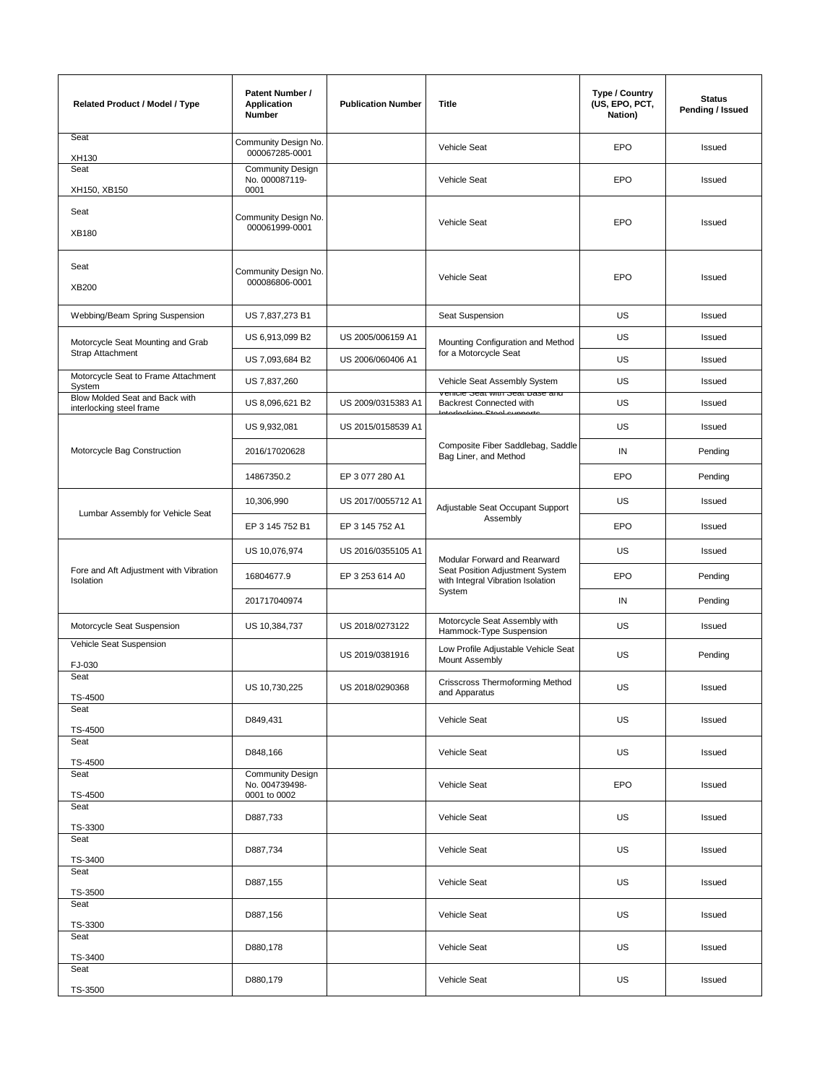| <b>Related Product / Model / Type</b>                      | Patent Number /<br>Application<br>Number                  | <b>Publication Number</b> | <b>Title</b>                                                                                                   | Type / Country<br>(US, EPO, PCT,<br>Nation) | <b>Status</b><br>Pending / Issued |
|------------------------------------------------------------|-----------------------------------------------------------|---------------------------|----------------------------------------------------------------------------------------------------------------|---------------------------------------------|-----------------------------------|
| Seat<br>XH130                                              | Community Design No.<br>000067285-0001                    |                           | Vehicle Seat                                                                                                   | <b>EPO</b>                                  | Issued                            |
| Seat<br>XH150, XB150                                       | <b>Community Design</b><br>No. 000087119-<br>0001         |                           | Vehicle Seat                                                                                                   | <b>EPO</b>                                  | Issued                            |
| Seat<br><b>XB180</b>                                       | Community Design No.<br>000061999-0001                    |                           | Vehicle Seat                                                                                                   | <b>EPO</b>                                  | Issued                            |
| Seat<br>XB200                                              | Community Design No.<br>000086806-0001                    |                           | Vehicle Seat                                                                                                   | EPO                                         | Issued                            |
| Webbing/Beam Spring Suspension                             | US 7,837,273 B1                                           |                           | Seat Suspension                                                                                                | <b>US</b>                                   | Issued                            |
| Motorcycle Seat Mounting and Grab                          | US 6,913,099 B2                                           | US 2005/006159 A1         | Mounting Configuration and Method                                                                              | US                                          | Issued                            |
| Strap Attachment                                           | US 7,093,684 B2                                           | US 2006/060406 A1         | for a Motorcycle Seat                                                                                          | <b>US</b>                                   | Issued                            |
| Motorcycle Seat to Frame Attachment<br>System              | US 7,837,260                                              |                           | Vehicle Seat Assembly System                                                                                   | <b>US</b>                                   | Issued                            |
| Blow Molded Seat and Back with<br>interlocking steel frame | US 8,096,621 B2                                           | US 2009/0315383 A1        | venicie Seat with Seat Dase and<br>Backrest Connected with<br>والمستوات والمستدام والمستحققا                   | US                                          | Issued                            |
|                                                            | US 9,932,081                                              | US 2015/0158539 A1        |                                                                                                                | <b>US</b>                                   | Issued                            |
| Motorcycle Bag Construction                                | 2016/17020628                                             |                           | Composite Fiber Saddlebag, Saddle<br>Bag Liner, and Method                                                     | IN                                          | Pending                           |
|                                                            | 14867350.2                                                | EP 3 077 280 A1           |                                                                                                                | <b>EPO</b>                                  | Pending                           |
|                                                            | 10,306,990                                                | US 2017/0055712 A1        | Adjustable Seat Occupant Support<br>Assembly                                                                   | US                                          | Issued                            |
| Lumbar Assembly for Vehicle Seat                           | EP 3 145 752 B1                                           | EP 3 145 752 A1           |                                                                                                                | <b>EPO</b>                                  | Issued                            |
|                                                            | US 10,076,974                                             | US 2016/0355105 A1        | Modular Forward and Rearward<br>Seat Position Adjustment System<br>with Integral Vibration Isolation<br>System | US                                          | Issued                            |
| Fore and Aft Adjustment with Vibration<br>Isolation        | 16804677.9                                                | EP 3 253 614 A0           |                                                                                                                | <b>EPO</b>                                  | Pending                           |
|                                                            | 201717040974                                              |                           |                                                                                                                | IN                                          | Pending                           |
| Motorcycle Seat Suspension                                 | US 10,384,737                                             | US 2018/0273122           | Motorcycle Seat Assembly with<br>Hammock-Type Suspension                                                       | <b>US</b>                                   | Issued                            |
| Vehicle Seat Suspension<br>FJ-030                          |                                                           | US 2019/0381916           | Low Profile Adjustable Vehicle Seat<br>Mount Assembly                                                          | US                                          | Pending                           |
| Seat<br>TS-4500                                            | US 10,730,225                                             | US 2018/0290368           | Crisscross Thermoforming Method<br>and Apparatus                                                               | US                                          | Issued                            |
| Seat<br>TS-4500                                            | D849,431                                                  |                           | Vehicle Seat                                                                                                   | US                                          | Issued                            |
| Seat<br>TS-4500                                            | D848,166                                                  |                           | Vehicle Seat                                                                                                   | US                                          | Issued                            |
| Seat<br>TS-4500                                            | <b>Community Design</b><br>No. 004739498-<br>0001 to 0002 |                           | Vehicle Seat                                                                                                   | EPO                                         | Issued                            |
| Seat<br>TS-3300                                            | D887,733                                                  |                           | Vehicle Seat                                                                                                   | US                                          | Issued                            |
| Seat<br>TS-3400                                            | D887,734                                                  |                           | Vehicle Seat                                                                                                   | US                                          | Issued                            |
| Seat<br>TS-3500                                            | D887,155                                                  |                           | Vehicle Seat                                                                                                   | US                                          | Issued                            |
| Seat<br>TS-3300                                            | D887,156                                                  |                           | Vehicle Seat                                                                                                   | US                                          | Issued                            |
| Seat<br>TS-3400                                            | D880,178                                                  |                           | Vehicle Seat                                                                                                   | US                                          | Issued                            |
| Seat<br>TS-3500                                            | D880,179                                                  |                           | Vehicle Seat                                                                                                   | US                                          | Issued                            |